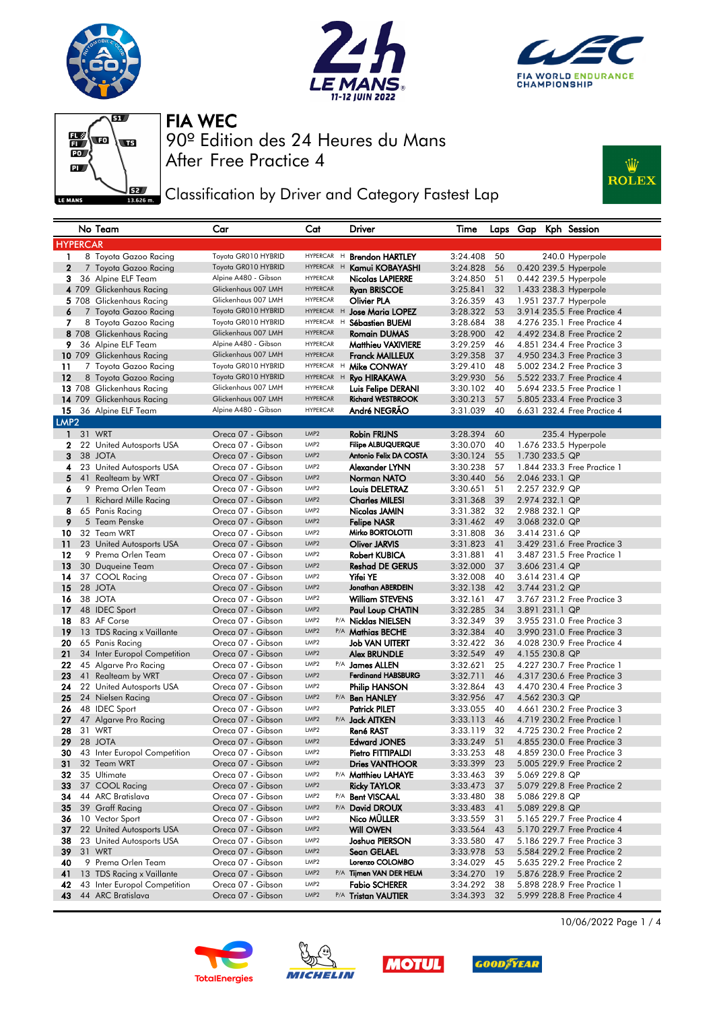







**J**EZ Classification by Driver and Category Fastest Lap



|                  |                 | No Team                                     | Car                                    | Cat              | Driver                                       | Time                 |          |                | Laps Gap Kph Session        |
|------------------|-----------------|---------------------------------------------|----------------------------------------|------------------|----------------------------------------------|----------------------|----------|----------------|-----------------------------|
|                  | <b>HYPERCAR</b> |                                             |                                        |                  |                                              |                      |          |                |                             |
| 1                |                 | 8 Toyota Gazoo Racing                       | Toyota GR010 HYBRID                    | HYPERCAR H       | <b>Brendon HARTLEY</b>                       | 3:24.408             | 50       |                | 240.0 Hyperpole             |
| $\overline{2}$   |                 | 7 Toyota Gazoo Racing                       | Toyota GR010 HYBRID                    | HYPERCAR H       | Kamui KOBAYASHI                              | 3:24.828             | 56       |                | 0.420 239.5 Hyperpole       |
| 3                |                 | 36 Alpine ELF Team                          | Alpine A480 - Gibson                   | <b>HYPERCAR</b>  | <b>Nicolas LAPIERRE</b>                      | 3:24.850             | 51       |                | 0.442 239.5 Hyperpole       |
|                  |                 | 4 709 Glickenhaus Racing                    | Glickenhaus 007 LMH                    | <b>HYPERCAR</b>  | <b>Ryan BRISCOE</b>                          | 3:25.841             | 32       |                | 1.433 238.3 Hyperpole       |
|                  |                 | 5 708 Glickenhaus Racing                    | Glickenhaus 007 LMH                    | <b>HYPERCAR</b>  | Olivier PLA                                  | 3:26.359             | 43       |                | 1.951 237.7 Hyperpole       |
| 6                |                 | 7 Toyota Gazoo Racing                       | Toyota GR010 HYBRID                    | HYPERCAR H       | <b>Jose Maria LOPEZ</b>                      | 3:28.322             | 53       |                | 3.914 235.5 Free Practice 4 |
| 7                |                 | 8 Toyota Gazoo Racing                       | Toyota GR010 HYBRID                    | HYPERCAR H       | Sébastien BUEMI                              | 3:28.684             | 38       |                | 4.276 235.1 Free Practice 4 |
|                  |                 | 8 708 Glickenhaus Racing                    | Glickenhaus 007 LMH                    | <b>HYPERCAR</b>  | <b>Romain DUMAS</b>                          | 3:28.900             | 42       |                | 4.492 234.8 Free Practice 2 |
| 9                |                 | 36 Alpine ELF Team                          | Alpine A480 - Gibson                   | <b>HYPERCAR</b>  | <b>Matthieu VAXIVIERE</b>                    | 3:29.259             | 46       |                | 4.851 234.4 Free Practice 3 |
|                  |                 | 10 709 Glickenhaus Racing                   | Glickenhaus 007 LMH                    | <b>HYPERCAR</b>  | <b>Franck MAILLEUX</b>                       | 3:29.358             | 37       |                | 4.950 234.3 Free Practice 3 |
| 11               |                 | 7 Toyota Gazoo Racing                       | Toyota GR010 HYBRID                    | HYPERCAR H       | Mike CONWAY                                  | 3:29.410             | 48       |                | 5.002 234.2 Free Practice 3 |
| 12               |                 | 8 Toyota Gazoo Racing                       | Toyota GR010 HYBRID                    | HYPERCAR H       | Ryo HIRAKAWA                                 | 3:29.930             | 56       |                | 5.522 233.7 Free Practice 4 |
|                  |                 | 13 708 Glickenhaus Racing                   | Glickenhaus 007 LMH                    | <b>HYPERCAR</b>  | Luis Felipe DERANI                           | 3:30.102             | 40       |                | 5.694 233.5 Free Practice 1 |
|                  |                 | 14 709 Glickenhaus Racing                   | Glickenhaus 007 LMH                    | <b>HYPERCAR</b>  | <b>Richard WESTBROOK</b>                     | 3:30.213             | 57       |                | 5.805 233.4 Free Practice 3 |
| 15               |                 | 36 Alpine ELF Team                          | Alpine A480 - Gibson                   | <b>HYPERCAR</b>  | André NEGRÃO                                 | 3:31.039             | 40       |                | 6.631 232.4 Free Practice 4 |
| LMP <sub>2</sub> |                 |                                             |                                        |                  |                                              |                      |          |                |                             |
| $\mathbf{1}$     |                 | 31 WRT                                      | Oreca 07 - Gibson                      | LMP <sub>2</sub> | Robin FRIJNS                                 | 3:28.394             | 60       |                | 235.4 Hyperpole             |
| 2                |                 | 22 United Autosports USA                    | Oreca 07 - Gibson                      | LMP <sub>2</sub> | <b>Filipe ALBUQUERQUE</b>                    | 3:30.070             | 40       |                | 1.676 233.5 Hyperpole       |
| 3                |                 | 38 JOTA                                     | Oreca 07 - Gibson                      | LMP <sub>2</sub> | Antonio Felix DA COSTA                       | 3:30.124             | 55       | 1.730 233.5 QP |                             |
| 4                |                 | 23 United Autosports USA                    | Oreca 07 - Gibson                      | LMP <sub>2</sub> | Alexander LYNN                               | 3:30.238             | 57       |                | 1,844 233,3 Free Practice 1 |
| 5                | 41              | Realteam by WRT                             | Oreca 07 - Gibson                      | LMP <sub>2</sub> | Norman NATO                                  | 3:30.440             | 56       | 2.046 233.1 QP |                             |
| 6                |                 | 9 Prema Orlen Team                          | Oreca 07 - Gibson                      | LMP <sub>2</sub> | <b>Louis DELETRAZ</b>                        | 3:30.651             | 51       | 2.257 232.9 QP |                             |
| $\overline{7}$   | $\mathbf{1}$    | <b>Richard Mille Racing</b>                 | Oreca 07 - Gibson                      | LMP <sub>2</sub> | <b>Charles MILESI</b>                        | 3:31.368             | 39       | 2.974 232.1 QP |                             |
| 8                |                 | 65 Panis Racing                             | Oreca 07 - Gibson                      | LMP <sub>2</sub> | Nicolas JAMIN                                | 3:31.382             | 32       | 2.988 232.1 QP |                             |
| 9                |                 | 5 Team Penske                               | Oreca 07 - Gibson                      | LMP <sub>2</sub> | <b>Felipe NASR</b>                           | 3:31.462             | 49       | 3.068 232.0 QP |                             |
| 10               |                 | 32 Team WRT                                 | Oreca 07 - Gibson                      | LMP <sub>2</sub> | Mirko BORTOLOTTI                             | 3:31.808             | 36       | 3.414 231.6 QP |                             |
| 11               |                 | 23 United Autosports USA                    | Oreca 07 - Gibson                      | LMP2             | Oliver JARVIS                                | 3:31.823             | 41       |                | 3.429 231.6 Free Practice 3 |
| 12               |                 | 9 Prema Orlen Team                          | Oreca 07 - Gibson                      | LMP <sub>2</sub> | <b>Robert KUBICA</b>                         | 3:31.881             | 41       |                | 3.487 231.5 Free Practice 1 |
| 13               |                 | 30 Duqueine Team                            | Oreca 07 - Gibson                      | LMP <sub>2</sub> | <b>Reshad DE GERUS</b>                       | 3:32.000             | 37       | 3.606 231.4 QP |                             |
| 14               |                 | 37 COOL Racing                              | Oreca 07 - Gibson                      | LMP <sub>2</sub> | Yifei YE                                     | 3:32.008             | 40       | 3.614 231.4 QP |                             |
| 15               |                 | 28 JOTA                                     | Oreca 07 - Gibson                      | LMP <sub>2</sub> | Jonathan ABERDEIN                            | 3:32.138             | 42       | 3.744 231.2 QP |                             |
| 16               |                 | 38 JOTA                                     | Oreca 07 - Gibson                      | LMP2             | <b>William STEVENS</b>                       | 3:32.161             | 47       |                | 3.767 231.2 Free Practice 3 |
| 17               |                 | 48 IDEC Sport                               | Oreca 07 - Gibson                      | LMP2             | Paul Loup CHATIN                             | 3:32.285             | 34       | 3.891 231.1 QP |                             |
| 18               |                 | 83 AF Corse                                 | Oreca 07 - Gibson                      | LMP <sub>2</sub> | P/A Nicklas NIELSEN                          | 3:32.349             | 39       |                | 3.955 231.0 Free Practice 3 |
| 19               |                 | 13 TDS Racing x Vaillante                   | Oreca 07 - Gibson                      | LMP2<br>LMP2     | P/A Mathias BECHE                            | 3:32.384             | 40       |                | 3.990 231.0 Free Practice 3 |
| 20               |                 | 65 Panis Racing                             | Oreca 07 - Gibson                      | LMP <sub>2</sub> | <b>Job VAN UITERT</b>                        | 3:32.422             | 36       |                | 4.028 230.9 Free Practice 4 |
| 21               |                 | 34 Inter Europol Competition                | Oreca 07 - Gibson<br>Oreca 07 - Gibson | LMP <sub>2</sub> | <b>Alex BRUNDLE</b>                          | 3:32.549             | 49<br>25 | 4.155 230.8 QP | 4.227 230.7 Free Practice 1 |
| 22<br>23         |                 | 45 Algarve Pro Racing<br>41 Realteam by WRT | Oreca 07 - Gibson                      | LMP <sub>2</sub> | P/A James ALLEN<br><b>Ferdinand HABSBURG</b> | 3:32.621<br>3:32.711 | 46       |                | 4.317 230.6 Free Practice 3 |
| 24               |                 | 22 United Autosports USA                    | Oreca 07 - Gibson                      | LMP <sub>2</sub> | <b>Philip HANSON</b>                         | 3:32.864             | 43       |                | 4.470 230.4 Free Practice 3 |
| 25               |                 | 24 Nielsen Racing                           | Oreca 07 - Gibson                      | LMP <sub>2</sub> | P/A Ben HANLEY                               | 3:32.956             | 47       | 4.562 230.3 QP |                             |
| 26               |                 | 48 IDEC Sport                               | Oreca 07 - Gibson                      | LMP <sub>2</sub> | <b>Patrick PILET</b>                         | 3:33.055             | 40       |                | 4.661 230.2 Free Practice 3 |
| 27               |                 | 47 Algarve Pro Racing                       | Oreca 07 - Gibson                      | LMP2             | P/A Jack AITKEN                              | 3:33.113             | 46       |                | 4.719 230.2 Free Practice 1 |
| 28               |                 | 31 WRT                                      | Oreca 07 - Gibson                      | LMP <sub>2</sub> | René RAST                                    | 3:33.119             | 32       |                | 4.725 230.2 Free Practice 2 |
| 29               |                 | 28 JOTA                                     | Oreca 07 - Gibson                      | LMP2             | <b>Edward JONES</b>                          | 3:33.249             | 51       |                | 4.855 230.0 Free Practice 3 |
| 30               |                 | 43 Inter Europol Competition                | Oreca 07 - Gibson                      | LMP <sub>2</sub> | Pietro FITTIPALDI                            | 3:33.253             | 48       |                | 4.859 230.0 Free Practice 3 |
| 31               |                 | 32 Team WRT                                 | Oreca 07 - Gibson                      | LMP2             | Dries VANTHOOR                               | 3:33.399             | 23       |                | 5.005 229.9 Free Practice 2 |
| 32               |                 | 35 Ultimate                                 | Oreca 07 - Gibson                      | LMP2             | P/A Matthieu LAHAYE                          | 3:33.463             | 39       | 5.069 229.8 QP |                             |
| 33               |                 | 37 COOL Racing                              | Oreca 07 - Gibson                      | LMP2             | Ricky TAYLOR                                 | 3:33.473             | 37       |                | 5.079 229.8 Free Practice 2 |
| 34               |                 | 44 ARC Bratislava                           | Oreca 07 - Gibson                      | LMP <sub>2</sub> | P/A Bent VISCAAL                             | 3:33.480             | 38       | 5.086 229.8 QP |                             |
| 35               |                 | 39 Graff Racina                             | Oreca 07 - Gibson                      | LMP2             | P/A David DROUX                              | 3:33.483             | 41       | 5.089 229.8 QP |                             |
| 36               |                 | 10 Vector Sport                             | Oreca 07 - Gibson                      | LMP2             | Nico MÜLLER                                  | 3:33.559             | 31       |                | 5.165 229.7 Free Practice 4 |
| 37               |                 | 22 United Autosports USA                    | Oreca 07 - Gibson                      | LMP2             | <b>Will OWEN</b>                             | 3:33.564             | 43       |                | 5.170 229.7 Free Practice 4 |
| 38               |                 | 23 United Autosports USA                    | Oreca 07 - Gibson                      | LMP <sub>2</sub> | Joshua PIERSON                               | 3:33.580             | 47       |                | 5.186 229.7 Free Practice 3 |
| 39               |                 | 31 WRT                                      | Oreca 07 - Gibson                      | LMP2             | <b>Sean GELAEL</b>                           | 3:33.978             | 53       |                | 5.584 229.2 Free Practice 2 |
| 40               |                 | 9 Prema Orlen Team                          | Oreca 07 - Gibson                      | LMP <sub>2</sub> | Lorenzo COLOMBO                              | 3:34.029             | 45       |                | 5.635 229.2 Free Practice 2 |
| 41               |                 | 13 TDS Racing x Vaillante                   | Oreca 07 - Gibson                      | LMP2             | P/A Tijmen VAN DER HELM                      | 3:34.270             | 19       |                | 5.876 228.9 Free Practice 2 |
| 42               |                 | 43 Inter Europol Competition                | Oreca 07 - Gibson                      | LMP2             | <b>Fabio SCHERER</b>                         | 3:34.292             | 38       |                | 5.898 228.9 Free Practice 1 |
| 43               |                 | 44 ARC Bratislava                           | Oreca 07 - Gibson                      | LMP <sub>2</sub> | P/A Tristan VAUTIER                          | 3:34.393             | 32       |                | 5.999 228.8 Free Practice 4 |









10/06/2022 Page 1 / 4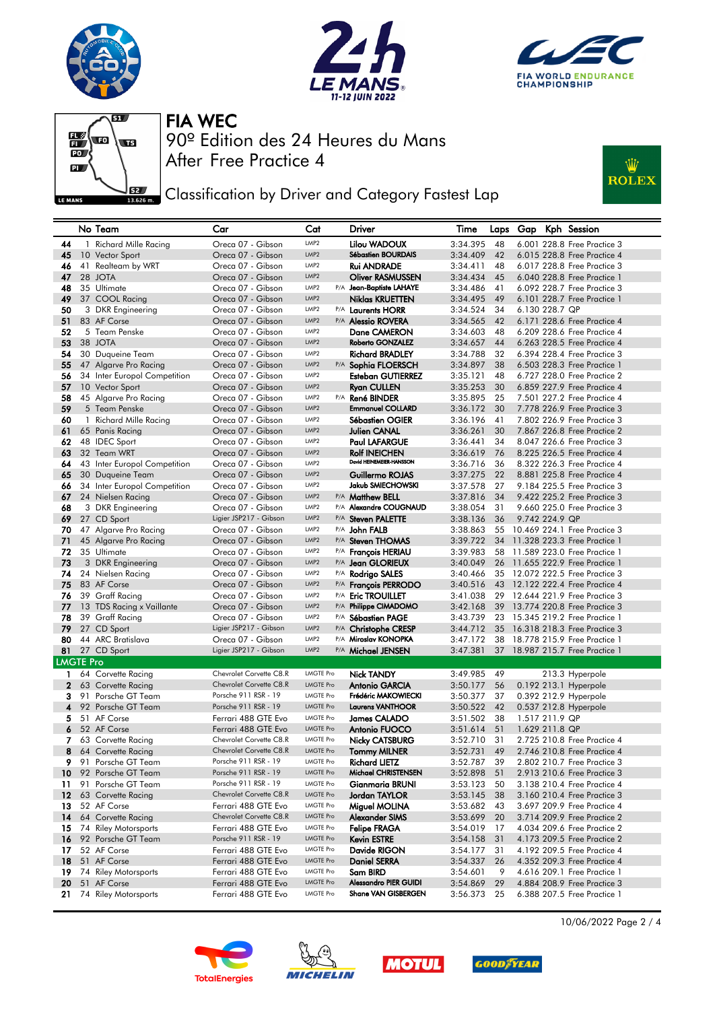







**J**EZ Classification by Driver and Category Fastest Lap



|                  |    | No Team                                | Car                                    | Cat                           |     | Driver                                              | Time                 | Laps     | Gap            |                | Kph Session                                                  |
|------------------|----|----------------------------------------|----------------------------------------|-------------------------------|-----|-----------------------------------------------------|----------------------|----------|----------------|----------------|--------------------------------------------------------------|
| 44               |    | 1 Richard Mille Racing                 | Oreca 07 - Gibson                      | LMP2                          |     | Lilou WADOUX                                        | 3:34.395             | 48       |                |                | 6.001 228.8 Free Practice 3                                  |
| 45               |    | 10 Vector Sport                        | Oreca 07 - Gibson                      | LMP2                          |     | <b>Sébastien BOURDAIS</b>                           | 3:34.409             | 42       |                |                | 6.015 228.8 Free Practice 4                                  |
| 46               |    | 41 Realteam by WRT                     | Oreca 07 - Gibson                      | LMP2                          |     | Rui ANDRADE                                         | 3:34.411             | 48       |                |                | 6.017 228.8 Free Practice 3                                  |
| 47               |    | 28 JOTA                                | Oreca 07 - Gibson                      | LMP <sub>2</sub>              |     | <b>Oliver RASMUSSEN</b>                             | 3:34.434             | 45       |                |                | 6.040 228.8 Free Practice 1                                  |
| 48               |    | 35 Ultimate                            | Oreca 07 - Gibson                      | LMP <sub>2</sub>              | P/A | Jean-Baptiste LAHAYE                                | 3:34.486             | 41       |                |                | 6.092 228.7 Free Practice 3                                  |
| 49               |    | 37 COOL Racing                         | Oreca 07 - Gibson                      | LMP <sub>2</sub>              |     | <b>Niklas KRUETTEN</b>                              | 3:34.495             | 49       |                |                | 6.101 228.7 Free Practice 1                                  |
| 50               |    | 3 DKR Engineering                      | Oreca 07 - Gibson                      | LMP <sub>2</sub>              |     | P/A Laurents HORR                                   | 3:34.524             | 34       | 6.130 228.7 QP |                |                                                              |
| 51               |    | 83 AF Corse                            | Oreca 07 - Gibson                      | LMP <sub>2</sub>              |     | P/A <b>Alessio ROVERA</b>                           | 3:34.565             | 42       |                |                | 6.171 228.6 Free Practice 4                                  |
| 52               |    | 5 Team Penske                          | Oreca 07 - Gibson                      | LMP2                          |     | Dane CAMERON                                        | 3:34.603             | 48       |                |                | 6.209 228.6 Free Practice 4                                  |
| 53               |    | 38 JOTA                                | Oreca 07 - Gibson                      | LMP <sub>2</sub>              |     | <b>Roberto GONZALEZ</b>                             | 3:34.657             | 44       |                |                | 6.263 228.5 Free Practice 4                                  |
| 54               |    | 30 Duqueine Team                       | Oreca 07 - Gibson                      | LMP2                          |     | <b>Richard BRADLEY</b>                              | 3:34.788             | 32       |                |                | 6.394 228.4 Free Practice 3                                  |
| 55               |    | 47 Algarve Pro Racing                  | Oreca 07 - Gibson                      | LMP <sub>2</sub>              |     | P/A Sophia FLOERSCH                                 | 3:34.897             | 38       |                |                | 6.503 228.3 Free Practice 1                                  |
| 56               |    | 34 Inter Europol Competition           | Oreca 07 - Gibson                      | LMP <sub>2</sub>              |     | <b>Esteban GUTIERREZ</b>                            | 3:35.121             | 48       |                |                | 6.727 228.0 Free Practice 2                                  |
| 57               |    | 10 Vector Sport                        | Oreca 07 - Gibson                      | LMP <sub>2</sub>              |     | <b>Ryan CULLEN</b>                                  | 3:35.253             | 30       |                |                | 6.859 227.9 Free Practice 4                                  |
| 58               |    | 45 Algarve Pro Racing                  | Oreca 07 - Gibson                      | LMP <sub>2</sub>              | P/A | René BINDER                                         | 3:35.895             | 25       |                |                | 7.501 227.2 Free Practice 4                                  |
| 59               |    | 5 Team Penske                          | Oreca 07 - Gibson                      | LMP <sub>2</sub>              |     | <b>Emmanuel COLLARD</b>                             | 3:36.172             | 30       |                |                | 7.778 226.9 Free Practice 3                                  |
| 60               |    | 1 Richard Mille Racing                 | Oreca 07 - Gibson                      | LMP <sub>2</sub>              |     | Sébastien OGIER                                     | 3:36.196             | 41       |                |                | 7.802 226.9 Free Practice 3                                  |
| 61               |    | 65 Panis Racing                        | Oreca 07 - Gibson                      | LMP <sub>2</sub>              |     | Julien CANAL                                        | 3:36.261             | 30       |                |                | 7.867 226.8 Free Practice 2                                  |
| 62               |    | 48 IDEC Sport                          | Oreca 07 - Gibson                      | LMP <sub>2</sub>              |     | <b>Paul LAFARGUE</b>                                | 3:36.441             | 34       |                |                | 8.047 226.6 Free Practice 3                                  |
| 63               |    | 32 Team WRT                            | Oreca 07 - Gibson                      | LMP <sub>2</sub>              |     | <b>Rolf INEICHEN</b><br>David HEINEMEIER-HANSSON    | 3:36.619             | 76       |                |                | 8.225 226.5 Free Practice 4                                  |
| 64               |    | 43 Inter Europol Competition           | Oreca 07 - Gibson                      | LMP2                          |     |                                                     | 3:36.716             | 36       |                |                | 8.322 226.3 Free Practice 4                                  |
| 65               |    | 30 Duqueine Team                       | Oreca 07 - Gibson                      | LMP2                          |     | Guillermo ROJAS                                     | 3:37.275             | 22       |                |                | 8.881 225.8 Free Practice 4                                  |
| 66               |    | 34 Inter Europol Competition           | Oreca 07 - Gibson                      | LMP <sub>2</sub>              |     | Jakub SMIECHOWSKI                                   | 3:37.578             | 27       |                |                | 9.184 225.5 Free Practice 3                                  |
| 67               |    | 24 Nielsen Racing                      | Oreca 07 - Gibson                      | LMP <sub>2</sub>              |     | P/A Matthew BELL                                    | 3:37.816             | 34       |                |                | 9.422 225.2 Free Practice 3                                  |
| 68               |    | 3 DKR Engineering                      | Oreca 07 - Gibson                      | LMP <sub>2</sub>              |     | P/A Alexandre COUGNAUD                              | 3:38.054             | 31       |                |                | 9.660 225.0 Free Practice 3                                  |
| 69               |    | 27 CD Sport                            | Ligier JSP217 - Gibson                 | LMP <sub>2</sub>              |     | P/A Steven PALETTE                                  | 3:38.136             | 36       | 9.742 224.9 QP |                |                                                              |
| 70               |    | 47 Algarve Pro Racing                  | Oreca 07 - Gibson                      | LMP <sub>2</sub><br>LMP2      |     | P/A John FALB                                       | 3:38.863             | 55       |                |                | 10.469 224.1 Free Practice 3                                 |
| 71               |    | 45 Algarve Pro Racing                  | Oreca 07 - Gibson                      | LMP2                          |     | P/A Steven THOMAS                                   | 3:39.722             | 34       |                |                | 11,328 223,3 Free Practice 1                                 |
| 72               |    | 35 Ultimate                            | Oreca 07 - Gibson                      | LMP2                          |     | P/A <b>François HERIAU</b>                          | 3:39.983             | 58       |                |                | 11.589 223.0 Free Practice 1<br>11.655 222.9 Free Practice 1 |
| 73<br>74         |    | 3 DKR Engineering<br>24 Nielsen Racing | Oreca 07 - Gibson<br>Oreca 07 - Gibson | LMP2                          |     | P/A Jean GLORIEUX<br>P/A Rodrigo SALES              | 3:40.049<br>3:40.466 | 26<br>35 |                |                | 12.072 222.5 Free Practice 3                                 |
| 75               |    | 83 AF Corse                            | Oreca 07 - Gibson                      | LMP2                          |     | P/A François PERRODO                                | 3:40.516             | 43       |                |                | 12.122 222.4 Free Practice 4                                 |
| 76               |    | 39 Graff Racing                        | Oreca 07 - Gibson                      | LMP <sub>2</sub>              |     | P/A Eric TROUILLET                                  | 3:41.038             | 29       |                |                | 12.644 221.9 Free Practice 3                                 |
| 77               |    | 13 TDS Racing x Vaillante              | Oreca 07 - Gibson                      | LMP2                          |     | P/A Philippe CIMADOMO                               | 3:42.168             |          |                |                | 39 13.774 220.8 Free Practice 3                              |
| 78               |    | 39 Graff Racing                        | Oreca 07 - Gibson                      | LMP <sub>2</sub>              |     | P/A Sébastien PAGE                                  | 3:43.739             | 23       |                |                | 15,345 219,2 Free Practice 1                                 |
| 79               |    | 27 CD Sport                            | Ligier JSP217 - Gibson                 | LMP2                          |     | P/A Christophe CRESP                                | 3:44.712             | 35       |                |                | 16.318 218.3 Free Practice 3                                 |
| 80               |    | 44 ARC Bratislava                      | Oreca 07 - Gibson                      | LMP2                          |     | P/A Miroslav KONOPKA                                | 3:47.172             | 38       |                |                | 18.778 215.9 Free Practice 1                                 |
| 81               |    | 27 CD Sport                            | Ligier JSP217 - Gibson                 | LMP2                          |     | P/A Michael JENSEN                                  | 3:47.381             | 37       |                |                | 18.987 215.7 Free Practice 1                                 |
| <b>LMGTE Pro</b> |    |                                        |                                        |                               |     |                                                     |                      |          |                |                |                                                              |
| $\mathbf{1}$     |    | 64 Corvette Racing                     | Chevrolet Corvette C8.R                | <b>LMGTE Pro</b>              |     | <b>Nick TANDY</b>                                   | 3:49.985             | 49       |                |                | 213.3 Hyperpole                                              |
| $\mathbf{2}$     |    | 63 Corvette Racina                     | Chevrolet Corvette C8.R                | <b>LMGTE Pro</b>              |     | <b>Antonio GARCIA</b>                               | 3:50.177             | 56       |                |                | 0.192 213.1 Hyperpole                                        |
| 3                |    | 91 Porsche GT Team                     | Porsche 911 RSR - 19                   | <b>LMGTE Pro</b>              |     | Frédéric MAKOWIECKI                                 | 3:50.377             | 37       |                |                | 0.392 212.9 Hyperpole                                        |
| 4                |    | 92 Porsche GT Team                     | Porsche 911 RSR - 19                   | <b>LMGTE Pro</b>              |     | <b>Laurens VANTHOOR</b>                             | 3:50.522             | 42       |                |                | 0.537 212.8 Hyperpole                                        |
| 5.               |    | 51 AF Corse                            | Ferrari 488 GTE Evo                    | <b>LMGTE Pro</b>              |     | <b>James CALADO</b>                                 | 3:51.502             | 38       | 1.517 211.9 QP |                |                                                              |
| 6                |    | 52 AF Corse                            | Ferrari 488 GTE Evo                    | <b>LMGTE Pro</b>              |     | Antonio FUOCO                                       | 3:51.614             | 51       |                | 1.629 211.8 QP |                                                              |
| 7                |    | 63 Corvette Racing                     | Chevrolet Corvette C8.R                | <b>LMGTE Pro</b>              |     | Nicky CATSBURG                                      | 3:52.710             | 31       |                |                | 2.725 210.8 Free Practice 4                                  |
| 8                |    | 64 Corvette Racing                     | Chevrolet Corvette C8.R                | <b>LMGTE Pro</b>              |     | <b>Tommy MILNER</b>                                 | 3:52.731             | 49       |                |                | 2.746 210.8 Free Practice 4                                  |
| 9.               |    | 91 Porsche GT Team                     | Porsche 911 RSR - 19                   | LMGTE Pro                     |     | <b>Richard LIETZ</b>                                | 3:52.787             | 39       |                |                | 2.802 210.7 Free Practice 3                                  |
| 10               |    | 92 Porsche GT Team                     | Porsche 911 RSR - 19                   | <b>LMGTE Pro</b>              |     | Michael CHRISTENSEN                                 | 3:52.898             | 51       |                |                | 2.913 210.6 Free Practice 3                                  |
| 11               | 91 | Porsche GT Team                        | Porsche 911 RSR - 19                   | LMGTE Pro                     |     | Gianmaria BRUNI                                     | 3:53.123             | 50       |                |                | 3.138 210.4 Free Practice 4                                  |
| 12 <sup>2</sup>  |    | 63 Corvette Racing                     | Chevrolet Corvette C8.R                | <b>LMGTE Pro</b>              |     | Jordan TAYLOR                                       | 3:53.145             | 38       |                |                | 3.160 210.4 Free Practice 3                                  |
| 13               |    | 52 AF Corse                            | Ferrari 488 GTE Evo                    | LMGTE Pro                     |     | Miguel MOLINA                                       | 3:53.682             | 43       |                |                | 3.697 209.9 Free Practice 4                                  |
| 14               |    | 64 Corvette Racing                     | Chevrolet Corvette C8.R                | <b>LMGTE Pro</b>              |     | <b>Alexander SIMS</b>                               | 3:53.699             | 20       |                |                | 3.714 209.9 Free Practice 2                                  |
| 15               |    | 74 Riley Motorsports                   | Ferrari 488 GTE Evo                    | LMGTE Pro                     |     | <b>Felipe FRAGA</b>                                 | 3:54.019             | 17       |                |                | 4.034 209.6 Free Practice 2                                  |
| 16               |    | 92 Porsche GT Team                     | Porsche 911 RSR - 19                   | <b>LMGTE Pro</b>              |     | <b>Kevin ESTRE</b>                                  | 3:54.158             | 31       |                |                | 4.173 209.5 Free Practice 2                                  |
| 17               |    | 52 AF Corse                            | Ferrari 488 GTE Evo                    | LMGTE Pro                     |     | Davide RIGON                                        | 3:54.177             | 31       |                |                | 4.192 209.5 Free Practice 4                                  |
| 18               |    | 51 AF Corse                            | Ferrari 488 GTE Evo                    | <b>LMGTE Pro</b>              |     | <b>Daniel SERRA</b>                                 | 3:54.337             | 26       |                |                | 4.352 209.3 Free Practice 4                                  |
| 19               |    | 74 Riley Motorsports                   | Ferrari 488 GTE Evo                    | <b>LMGTE Pro</b>              |     | Sam BIRD                                            | 3:54.601             | 9        |                |                | 4.616 209.1 Free Practice 1                                  |
| 20               |    | 51 AF Corse                            | Ferrari 488 GTE Evo                    | LMGTE Pro<br><b>LMGTE Pro</b> |     | <b>Alessandro PIER GUIDI</b><br>Shane VAN GISBERGEN | 3:54.869             | 29       |                |                | 4.884 208.9 Free Practice 3<br>6.388 207.5 Free Practice 1   |
| 21               |    | 74 Riley Motorsports                   | Ferrari 488 GTE Evo                    |                               |     |                                                     | 3:56.373             | 25       |                |                |                                                              |









10/06/2022 Page 2 / 4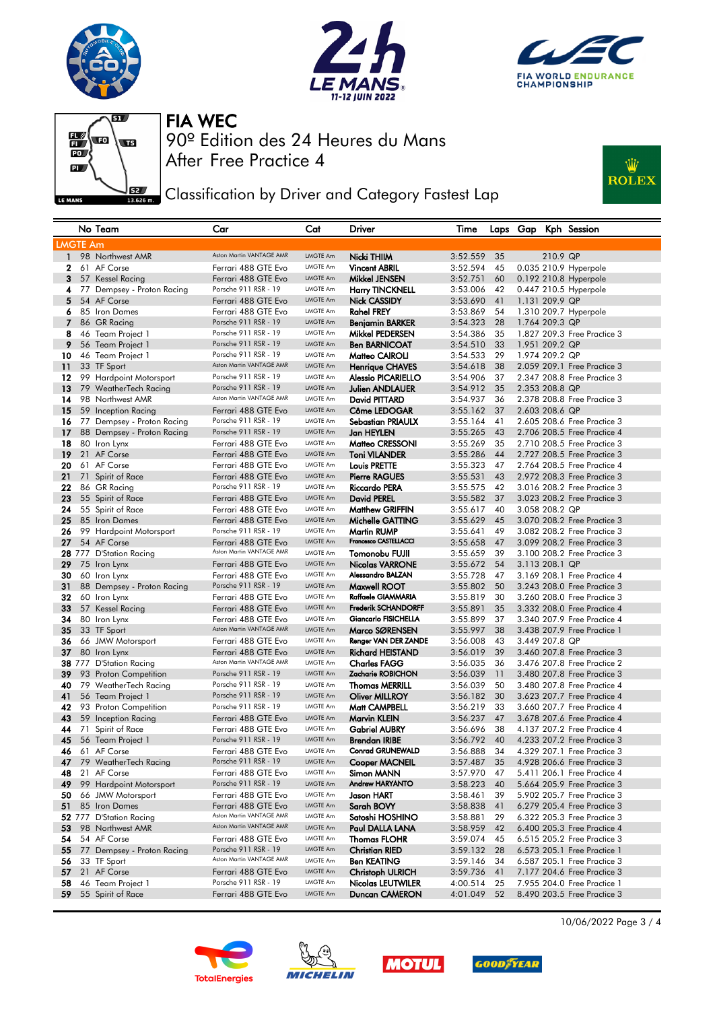







**J**EZ Classification by Driver and Category Fastest Lap



|                 | No Team                          | Car                                             | Cat                  | Driver                                                    | Time                 |          |                |          | Laps Gap Kph Session        |
|-----------------|----------------------------------|-------------------------------------------------|----------------------|-----------------------------------------------------------|----------------------|----------|----------------|----------|-----------------------------|
| <b>LMGTE Am</b> |                                  |                                                 |                      |                                                           |                      |          |                |          |                             |
| $\mathbf{1}$    | 98 Northwest AMR                 | Aston Martin VANTAGE AMR                        | LMGTE Am             | Nicki THIIM                                               | 3:52.559             | 35       |                | 210.9 QP |                             |
| 2               | 61 AF Corse                      | Ferrari 488 GTE Evo                             | LMGTE Am             | <b>Vincent ABRIL</b>                                      | 3:52.594             | 45       |                |          | 0.035 210.9 Hyperpole       |
| 3               | 57 Kessel Racing                 | Ferrari 488 GTE Evo                             | LMGTE Am             | Mikkel JENSEN                                             | 3:52.751             | 60       |                |          | 0.192 210.8 Hyperpole       |
| 4               | 77 Dempsey - Proton Racing       | Porsche 911 RSR - 19                            | LMGTE Am             | <b>Harry TINCKNELL</b>                                    | 3:53.006             | 42       |                |          | 0.447 210.5 Hyperpole       |
| 5               | 54 AF Corse                      | Ferrari 488 GTE Evo                             | LMGTE Am             | Nick CASSIDY                                              | 3:53.690             | 41       | 1.131 209.9 QP |          |                             |
| 6               | 85 Iron Dames                    | Ferrari 488 GTE Evo                             | LMGTE Am             | <b>Rahel FREY</b>                                         | 3:53.869             | 54       |                |          | 1.310 209.7 Hyperpole       |
| 7               | 86 GR Racing                     | Porsche 911 RSR - 19                            | LMGTE Am             | <b>Benjamin BARKER</b>                                    | 3:54.323             | 28       | 1.764 209.3 QP |          |                             |
| 8               | 46 Team Project 1                | Porsche 911 RSR - 19                            | LMGTE Am             | Mikkel PEDERSEN                                           | 3:54.386             | 35       |                |          | 1.827 209.3 Free Practice 3 |
| 9               | 56 Team Project 1                | Porsche 911 RSR - 19                            | LMGTE Am             | <b>Ben BARNICOAT</b>                                      | 3:54.510             | 33       | 1.951 209.2 QP |          |                             |
| 10              | 46 Team Project 1                | Porsche 911 RSR - 19                            | LMGTE Am             | Matteo CAIROLI                                            | 3:54.533             | 29       | 1.974 209.2 QP |          |                             |
| 11              | 33 TF Sport                      | Aston Martin VANTAGE AMR                        | LMGTE Am             | <b>Henrique CHAVES</b>                                    | 3:54.618             | 38       |                |          | 2.059 209.1 Free Practice 3 |
| 12              | 99 Hardpoint Motorsport          | Porsche 911 RSR - 19                            | LMGTE Am             | <b>Alessio PICARIELLO</b>                                 | 3:54.906             | 37       |                |          | 2.347 208.8 Free Practice 3 |
| 13              | 79 WeatherTech Racing            | Porsche 911 RSR - 19                            | <b>LMGTE Am</b>      | <b>Julien ANDLAUER</b>                                    | 3:54.912             | 35       | 2.353 208.8 QP |          |                             |
| 14              | 98 Northwest AMR                 | Aston Martin VANTAGE AMR                        | LMGTE Am             | David PITTARD                                             | 3:54.937             | 36       |                |          | 2.378 208.8 Free Practice 3 |
| 15              | 59 Inception Racing              | Ferrari 488 GTE Evo                             | LMGTE Am             | Côme LEDOGAR                                              | 3:55.162             | 37       | 2.603 208.6 QP |          |                             |
| 16              | 77 Dempsey - Proton Racing       | Porsche 911 RSR - 19                            | LMGTE Am             | <b>Sebastian PRIAULX</b>                                  | 3:55.164             | 41       |                |          | 2.605 208.6 Free Practice 3 |
| 17              | 88 Dempsey - Proton Racing       | Porsche 911 RSR - 19                            | LMGTE Am             | Jan HEYLEN                                                | 3:55.265             | 43       |                |          | 2.706 208.5 Free Practice 4 |
| 18              | 80 Iron Lynx                     | Ferrari 488 GTE Evo                             | LMGTE Am             | Matteo CRESSONI                                           | 3:55.269             | 35       |                |          | 2.710 208.5 Free Practice 3 |
| 19              | 21 AF Corse                      | Ferrari 488 GTE Evo                             | LMGTE Am             | <b>Toni VILANDER</b>                                      | 3:55.286             | 44       |                |          | 2.727 208.5 Free Practice 3 |
| 20              | 61 AF Corse                      | Ferrari 488 GTE Evo                             | LMGTE Am             | Louis PRETTE                                              | 3:55.323             | 47       |                |          | 2.764 208.5 Free Practice 4 |
| 21              | 71 Spirit of Race                | Ferrari 488 GTE Evo                             | LMGTE Am             | <b>Pierre RAGUES</b>                                      | 3:55.531             | 43       |                |          | 2.972 208.3 Free Practice 3 |
| 22              | 86 GR Racing                     | Porsche 911 RSR - 19                            | LMGTE Am             | <b>Riccardo PERA</b>                                      | 3:55.575             | 42       |                |          | 3.016 208.2 Free Practice 3 |
| 23              | 55 Spirit of Race                | Ferrari 488 GTE Evo                             | LMGTE Am             | David PEREL                                               | 3:55.582             | 37       |                |          | 3.023 208.2 Free Practice 3 |
| 24              | 55 Spirit of Race                | Ferrari 488 GTE Evo                             | LMGTE Am             | <b>Matthew GRIFFIN</b>                                    | 3:55.617             | 40       | 3.058 208.2 QP |          |                             |
| 25              | 85 Iron Dames                    | Ferrari 488 GTE Evo                             | LMGTE Am             | Michelle GATTING                                          | 3:55.629             | 45       |                |          | 3.070 208.2 Free Practice 3 |
| 26              | 99 Hardpoint Motorsport          | Porsche 911 RSR - 19                            | LMGTE Am             | <b>Martin RUMP</b>                                        | 3:55.641             | 49       |                |          | 3.082 208.2 Free Practice 3 |
| 27              | 54 AF Corse                      | Ferrari 488 GTE Evo                             | LMGTE Am             | Francesco CASTELLACCI                                     | 3:55.658             | 47       |                |          | 3.099 208.2 Free Practice 3 |
|                 | 28 777 D'Station Racing          | Aston Martin VANTAGE AMR                        | LMGTE Am             | Tomonobu FUJII                                            | 3:55.659             | 39       |                |          | 3.100 208.2 Free Practice 3 |
| 29              | 75 Iron Lynx                     | Ferrari 488 GTE Evo                             | LMGTE Am             | <b>Nicolas VARRONE</b>                                    | 3:55.672             | 54       | 3.113 208.1 QP |          |                             |
| 30              | 60 Iron Lynx                     | Ferrari 488 GTE Evo                             | LMGTE Am             | Alessandro BALZAN                                         | 3:55.728             | 47       |                |          | 3.169 208.1 Free Practice 4 |
| 31              | 88 Dempsey - Proton Racing       | Porsche 911 RSR - 19                            | LMGTE Am             | Maxwell ROOT                                              | 3:55.802             | 50       |                |          | 3.243 208.0 Free Practice 3 |
| 32              | 60 Iron Lynx                     | Ferrari 488 GTE Evo                             | LMGTE Am             | Raffaele GIAMMARIA                                        | 3:55.819             | 30       |                |          | 3.260 208.0 Free Practice 3 |
| 33              | 57 Kessel Racing                 | Ferrari 488 GTE Evo                             | LMGTE Am<br>LMGTE Am | <b>Frederik SCHANDORFF</b><br><b>Giancarlo FISICHELLA</b> | 3:55.891             | 35       |                |          | 3.332 208.0 Free Practice 4 |
| 34              | 80 Iron Lynx                     | Ferrari 488 GTE Evo<br>Aston Martin VANTAGE AMR | LMGTE Am             |                                                           | 3:55.899             | 37<br>38 |                |          | 3.340 207.9 Free Practice 4 |
| 35<br>36        | 33 TF Sport<br>66 JMW Motorsport | Ferrari 488 GTE Evo                             | LMGTE Am             | Marco SØRENSEN<br>Renger VAN DER ZANDE                    | 3:55.997<br>3:56.008 | 43       | 3.449 207.8 QP |          | 3.438 207.9 Free Practice 1 |
| 37              | 80 Iron Lynx                     | Ferrari 488 GTE Evo                             | LMGTE Am             | <b>Richard HEISTAND</b>                                   | 3:56.019             | 39       |                |          | 3.460 207.8 Free Practice 3 |
|                 | 38 777 D'Station Racing          | Aston Martin VANTAGE AMR                        | LMGTE Am             | <b>Charles FAGG</b>                                       | 3:56.035             | 36       |                |          | 3.476 207.8 Free Practice 2 |
| 39              | 93 Proton Competition            | Porsche 911 RSR - 19                            | LMGTE Am             | Zacharie ROBICHON                                         | 3:56.039             | 11       |                |          | 3.480 207.8 Free Practice 3 |
| 40              | 79 WeatherTech Racing            | Porsche 911 RSR - 19                            | LMGTE Am             | <b>Thomas MERRILL</b>                                     | 3:56.039             | 50       |                |          | 3.480 207.8 Free Practice 4 |
| 41              | 56 Team Project 1                | Porsche 911 RSR - 19                            | <b>LMGTE Am</b>      | <b>Oliver MILLROY</b>                                     | 3:56.182             | 30       |                |          | 3.623 207.7 Free Practice 4 |
| 42              | 93 Proton Competition            | Porsche 911 RSR - 19                            | LMGTE Am             | Matt CAMPBELL                                             | 3:56.219             | 33       |                |          | 3.660 207.7 Free Practice 4 |
| 43              | 59 Inception Racing              | Ferrari 488 GTE Evo                             | LMGTE Am             | Marvin KLEIN                                              | 3:56.237             | 47       |                |          | 3.678 207.6 Free Practice 4 |
| 44              | 71 Spirit of Race                | Ferrari 488 GTE Evo                             | LMGTE Am             | <b>Gabriel AUBRY</b>                                      | 3:56.696             | 38       |                |          | 4.137 207.2 Free Practice 4 |
| 45              | 56 Team Project 1                | Porsche 911 RSR - 19                            | LMGTE Am             | <b>Brendan IRIBE</b>                                      | 3:56.792             | 40       |                |          | 4.233 207.2 Free Practice 3 |
| 46              | 61 AF Corse                      | Ferrari 488 GTE Evo                             | LMGTE Am             | <b>Conrad GRUNEWALD</b>                                   | 3:56.888             | 34       |                |          | 4.329 207.1 Free Practice 3 |
| 47              | 79 WeatherTech Racing            | Porsche 911 RSR - 19                            | LMGTE Am             | <b>Cooper MACNEIL</b>                                     | 3:57.487             | 35       |                |          | 4.928 206.6 Free Practice 3 |
| 48              | 21 AF Corse                      | Ferrari 488 GTE Evo                             | LMGTE Am             | Simon MANN                                                | 3:57.970             | 47       |                |          | 5.411 206.1 Free Practice 4 |
| 49              | 99 Hardpoint Motorsport          | Porsche 911 RSR - 19                            | LMGTE Am             | <b>Andrew HARYANTO</b>                                    | 3:58.223             | 40       |                |          | 5.664 205.9 Free Practice 3 |
| 50              | 66 JMW Motorsport                | Ferrari 488 GTE Evo                             | LMGTE Am             | Jason HART                                                | 3:58.461             | 39       |                |          | 5.902 205.7 Free Practice 3 |
| 51              | 85 Iron Dames                    | Ferrari 488 GTE Evo                             | LMGTE Am             | Sarah BOVY                                                | 3:58.838             | 41       |                |          | 6.279 205.4 Free Practice 3 |
|                 | 52 777 D'Station Racing          | Aston Martin VANTAGE AMR                        | LMGTE Am             | Satoshi HOSHINO                                           | 3:58.881             | 29       |                |          | 6.322 205.3 Free Practice 3 |
| 53              | 98 Northwest AMR                 | Aston Martin VANTAGE AMR                        | LMGTE Am             | Paul DALLA LANA                                           | 3:58.959             | 42       |                |          | 6.400 205.3 Free Practice 4 |
| 54              | 54 AF Corse                      | Ferrari 488 GTE Evo                             | LMGTE Am             | <b>Thomas FLOHR</b>                                       | 3:59.074             | 45       |                |          | 6.515 205.2 Free Practice 3 |
| 55              | 77 Dempsey - Proton Racing       | Porsche 911 RSR - 19                            | LMGTE Am             | <b>Christian RIED</b>                                     | 3:59.132             | 28       |                |          | 6.573 205.1 Free Practice 1 |
| 56              | 33 TF Sport                      | Aston Martin VANTAGE AMR                        | LMGTE Am             | <b>Ben KEATING</b>                                        | 3:59.146             | 34       |                |          | 6.587 205.1 Free Practice 3 |
| 57              | 21 AF Corse                      | Ferrari 488 GTE Evo                             | LMGTE Am             | <b>Christoph ULRICH</b>                                   | 3:59.736             | 41       |                |          | 7.177 204.6 Free Practice 3 |
| 58              | 46 Team Project 1                | Porsche 911 RSR - 19                            | LMGTE Am             | Nicolas LEUTWILER                                         | 4:00.514             | 25       |                |          | 7.955 204.0 Free Practice 1 |
| 59              | 55 Spirit of Race                | Ferrari 488 GTE Evo                             | LMGTE Am             | Duncan CAMERON                                            | 4:01.049             | 52       |                |          | 8.490 203.5 Free Practice 3 |









10/06/2022 Page 3 / 4